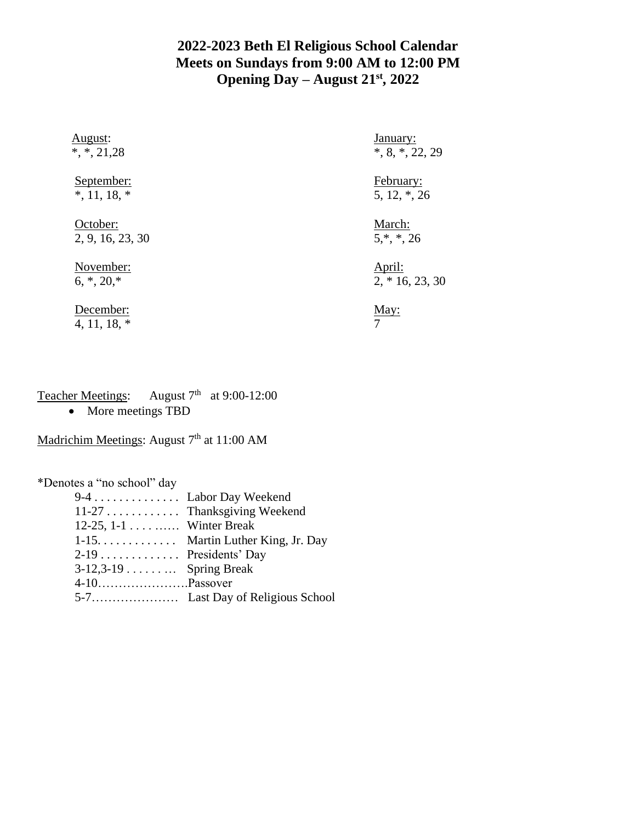## **2022-2023 Beth El Religious School Calendar Meets on Sundays from 9:00 AM to 12:00 PM Opening Day – August 21st, 2022**

| August:<br>$*,*, 21,28$      | <u>January:</u><br>$*, 8, *, 22, 29$ |
|------------------------------|--------------------------------------|
| September:<br>$*, 11, 18, *$ | February:<br>$5, 12, *, 26$          |
| October:<br>2, 9, 16, 23, 30 | March:<br>$5,*,*,26$                 |
| November:<br>$6, *, 20, *$   | April:<br>$2, *16, 23, 30$           |
| December:<br>4, 11, 18, $*$  | May:<br>7                            |
|                              |                                      |

## Teacher Meetings: August 7<sup>th</sup> at 9:00-12:00

• More meetings TBD

## Madrichim Meetings: August 7<sup>th</sup> at 11:00 AM

\*Denotes a "no school" day

|                          | 9-4 Labor Day Weekend              |
|--------------------------|------------------------------------|
|                          | 11-27 Thanksgiving Weekend         |
| 12-25, 1-1 Winter Break  |                                    |
|                          | $1-15$ Martin Luther King, Jr. Day |
| $2-19$ Presidents' Day   |                                    |
| $3-12,3-19$ Spring Break |                                    |
|                          |                                    |
|                          |                                    |
|                          |                                    |